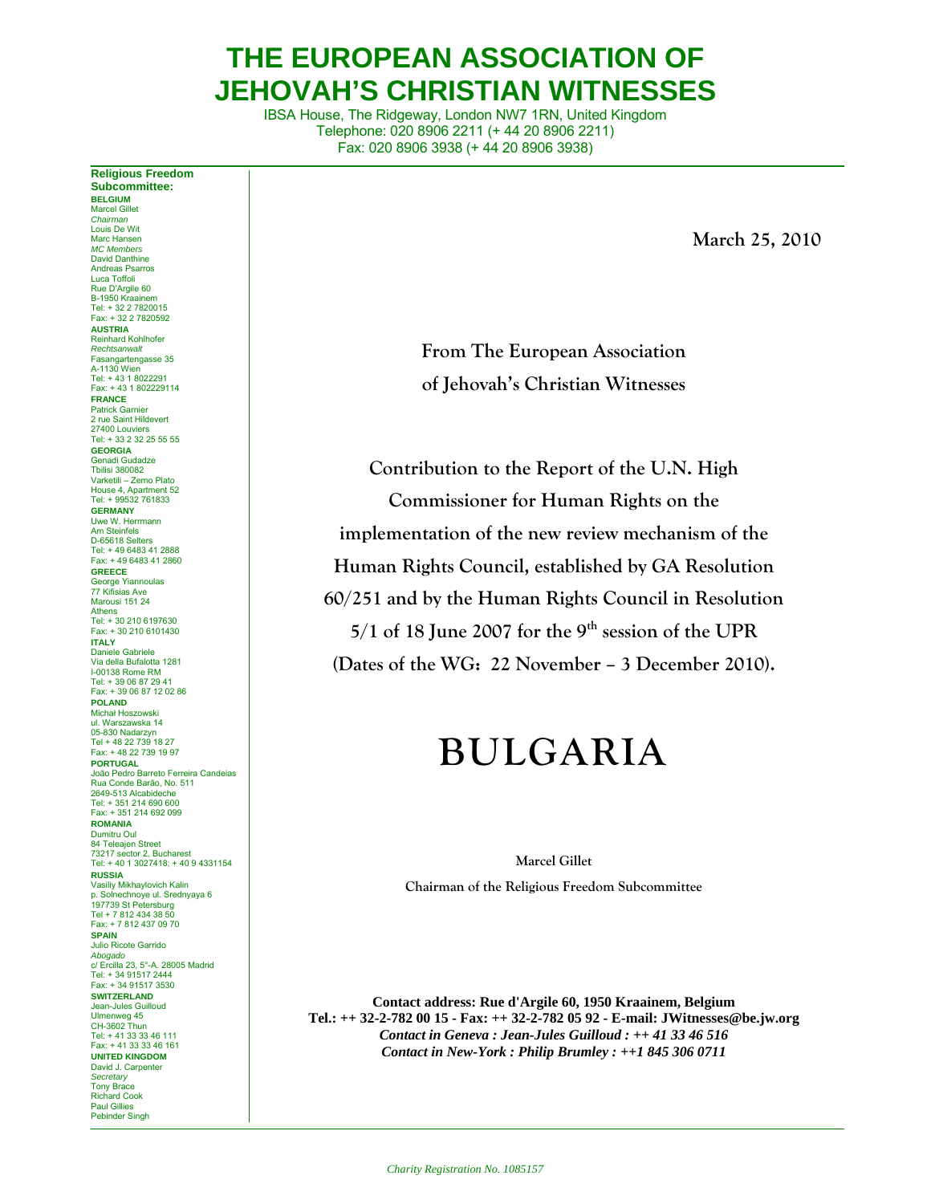# **THE EUROPEAN ASSOCIATION OF JEHOVAH'S CHRISTIAN WITNESSES**

IBSA House, The Ridgeway, London NW7 1RN, United Kingdom Telephone: 020 8906 2211 (+ 44 20 8906 2211) Fax: 020 8906 3938 (+ 44 20 8906 3938)

**March 25, 2010** 

**From The European Association of Jehovah's Christian Witnesses** 

**Contribution to the Report of the U.N. High Commissioner for Human Rights on the implementation of the new review mechanism of the Human Rights Council, established by GA Resolution 60/251 and by the Human Rights Council in Resolution 5/1 of 18 June 2007 for the 9th session of the UPR (Dates of the WG: 22 November – 3 December 2010).** 

# **BULGARIA**

**Marcel Gillet** 

**Chairman of the Religious Freedom Subcommittee** 

**Contact address: Rue d'Argile 60, 1950 Kraainem, Belgium Tel.: ++ 32-2-782 00 15 - Fax: ++ 32-2-782 05 92 - E-mail: JWitnesses@be.jw.org**  *Contact in Geneva : Jean-Jules Guilloud : ++ 41 33 46 516 Contact in New-York : Philip Brumley : ++1 845 306 0711* 

**Subcommittee: BELGIUM**  Marcel Gillet *Chairman* Louis De Wit Marc Hansen *MC Members* David Danthine Andreas Psarros Luca Toffoli Rue D'Argile 60 B-1950 Kraainem Tel: + 32 2 7820015 Fax: + 32 2 7820592 **AUSTRIA** Reinhard Kohlhofer *Rechtsanwalt* Fasangartengasse 35 A-1130 Wien Tel: + 43 1 8022291 Fax: + 43 1 802229114 **FRANCE** Patrick Garnier 2 rue Saint Hildevert 27400 Louviers Tel: + 33 2 32 25 55 55 **GEORGIA** Genadi Gudadze Tbilisi 380082 Varketili – Zemo Plato House 4, Apartment 52 Tel: + 99532 761833 **GERMANY** Uwe W. Herrman Am Steinfels D-65618 Selters Tel: + 49 6483 41 2888 Fax: + 49 6483 41 2860 **GREECE** George Yiannoulas 77 Kifisias Ave Marousi 151 24 Athens Tel: + 30 210 6197630 Fax: + 30 210 6101430 **ITALY** Daniele Gabriele Via della Bufalotta 1281 I-00138 Rome RM Tel: + 39 06 87 29 41 Fax: + 39 06 87 12 02 86 **POLAND** Michał Hoszowski ul. Warszawska 14 05-830 Nadarzyn Tel + 48 22 739 18 27 Fax: + 48 22 739 19 97 **PORTUGAL** João Pedro Barreto Ferreira Candeias Rua Conde Barão, No. 511 2649-513 Alcabideche Tel: + 351 214 690 600 Fax: + 351 214 692 099 **ROMANIA** Dumitru Oul 84 Teleajen Street 73217 sector 2, Bucharest Tel: + 40 1 3027418; + 40 9 4331154 **RUSSIA** Vasiliy Mikhaylovich Kalin p. Solnechnoye ul. Srednyaya 6 197739 St Petersburg Tel + 7 812 434 38 50 Fax: + 7 812 437 09 70 **SPAIN** Julio Ricote Garrido *Abogado* c/ Ercilla 23, 5°-A. 28005 Madrid Tel: + 34 91517 2444 Fax: + 34 91517 3530 **SWITZERLAND** Jean-Jules Guilloud Ulmenweg 45 CH-3602 Thun Tel: + 41 33 33 46 111 Fax: + 41 33 33 46 161 **UNITED KINGDOM** David J. Carpenter *Secretary*  Tony Brace Richard Cook Paul Gillies

Pebinder Singh

**Religious Freedom**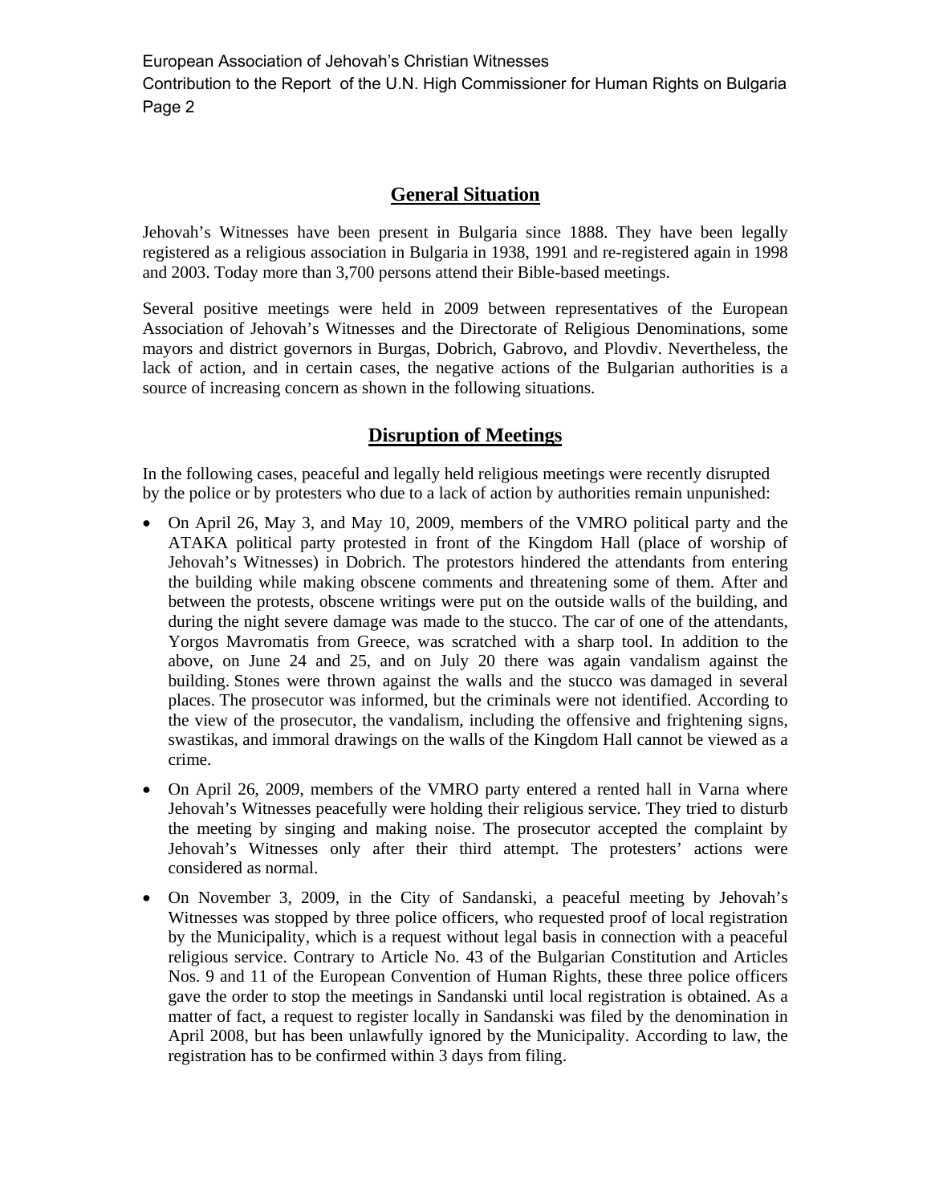European Association of Jehovah's Christian Witnesses Contribution to the Report of the U.N. High Commissioner for Human Rights on Bulgaria Page 2

## **General Situation**

Jehovah's Witnesses have been present in Bulgaria since 1888. They have been legally registered as a religious association in Bulgaria in 1938, 1991 and re-registered again in 1998 and 2003. Today more than 3,700 persons attend their Bible-based meetings.

Several positive meetings were held in 2009 between representatives of the European Association of Jehovah's Witnesses and the Directorate of Religious Denominations, some mayors and district governors in Burgas, Dobrich, Gabrovo, and Plovdiv. Nevertheless, the lack of action, and in certain cases, the negative actions of the Bulgarian authorities is a source of increasing concern as shown in the following situations.

#### **Disruption of Meetings**

In the following cases, peaceful and legally held religious meetings were recently disrupted by the police or by protesters who due to a lack of action by authorities remain unpunished:

- On April 26, May 3, and May 10, 2009, members of the VMRO political party and the ATAKA political party protested in front of the Kingdom Hall (place of worship of Jehovah's Witnesses) in Dobrich. The protestors hindered the attendants from entering the building while making obscene comments and threatening some of them. After and between the protests, obscene writings were put on the outside walls of the building, and during the night severe damage was made to the stucco. The car of one of the attendants, Yorgos Mavromatis from Greece, was scratched with a sharp tool. In addition to the above, on June 24 and 25, and on July 20 there was again vandalism against the building. Stones were thrown against the walls and the stucco was damaged in several places. The prosecutor was informed, but the criminals were not identified. According to the view of the prosecutor, the vandalism, including the offensive and frightening signs, swastikas, and immoral drawings on the walls of the Kingdom Hall cannot be viewed as a crime.
- On April 26, 2009, members of the VMRO party entered a rented hall in Varna where Jehovah's Witnesses peacefully were holding their religious service. They tried to disturb the meeting by singing and making noise. The prosecutor accepted the complaint by Jehovah's Witnesses only after their third attempt. The protesters' actions were considered as normal.
- On November 3, 2009, in the City of Sandanski, a peaceful meeting by Jehovah's Witnesses was stopped by three police officers, who requested proof of local registration by the Municipality, which is a request without legal basis in connection with a peaceful religious service. Contrary to Article No. 43 of the Bulgarian Constitution and Articles Nos. 9 and 11 of the European Convention of Human Rights, these three police officers gave the order to stop the meetings in Sandanski until local registration is obtained. As a matter of fact, a request to register locally in Sandanski was filed by the denomination in April 2008, but has been unlawfully ignored by the Municipality. According to law, the registration has to be confirmed within 3 days from filing.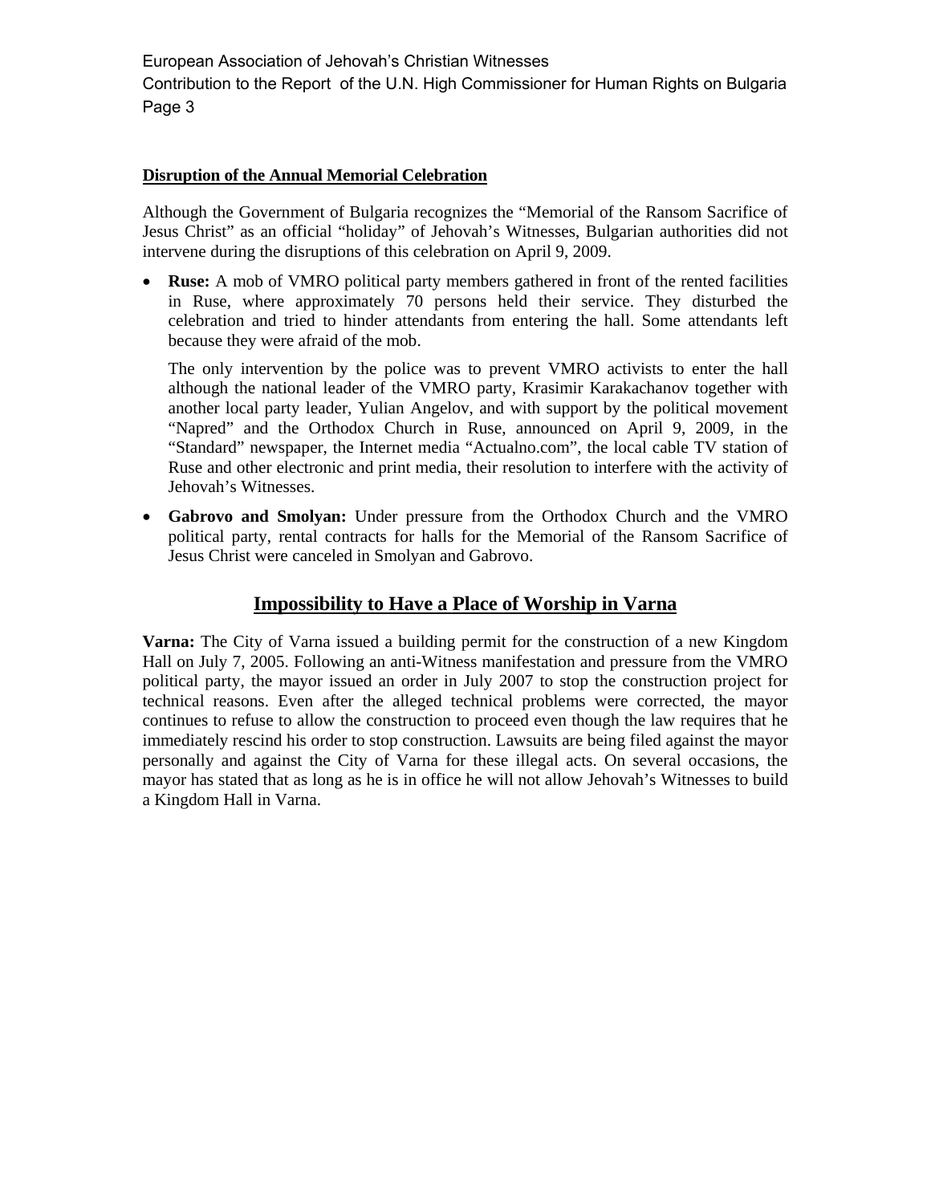European Association of Jehovah's Christian Witnesses

Contribution to the Report of the U.N. High Commissioner for Human Rights on Bulgaria Page 3

#### **Disruption of the Annual Memorial Celebration**

Although the Government of Bulgaria recognizes the "Memorial of the Ransom Sacrifice of Jesus Christ" as an official "holiday" of Jehovah's Witnesses, Bulgarian authorities did not intervene during the disruptions of this celebration on April 9, 2009.

• **Ruse:** A mob of VMRO political party members gathered in front of the rented facilities in Ruse, where approximately 70 persons held their service. They disturbed the celebration and tried to hinder attendants from entering the hall. Some attendants left because they were afraid of the mob.

The only intervention by the police was to prevent VMRO activists to enter the hall although the national leader of the VMRO party, Krasimir Karakachanov together with another local party leader, Yulian Angelov, and with support by the political movement "Napred" and the Orthodox Church in Ruse, announced on April 9, 2009, in the "Standard" newspaper, the Internet media "Actualno.com", the local cable TV station of Ruse and other electronic and print media, their resolution to interfere with the activity of Jehovah's Witnesses.

• **Gabrovo and Smolyan:** Under pressure from the Orthodox Church and the VMRO political party, rental contracts for halls for the Memorial of the Ransom Sacrifice of Jesus Christ were canceled in Smolyan and Gabrovo.

#### **Impossibility to Have a Place of Worship in Varna**

**Varna:** The City of Varna issued a building permit for the construction of a new Kingdom Hall on July 7, 2005. Following an anti-Witness manifestation and pressure from the VMRO political party, the mayor issued an order in July 2007 to stop the construction project for technical reasons. Even after the alleged technical problems were corrected, the mayor continues to refuse to allow the construction to proceed even though the law requires that he immediately rescind his order to stop construction. Lawsuits are being filed against the mayor personally and against the City of Varna for these illegal acts. On several occasions, the mayor has stated that as long as he is in office he will not allow Jehovah's Witnesses to build a Kingdom Hall in Varna.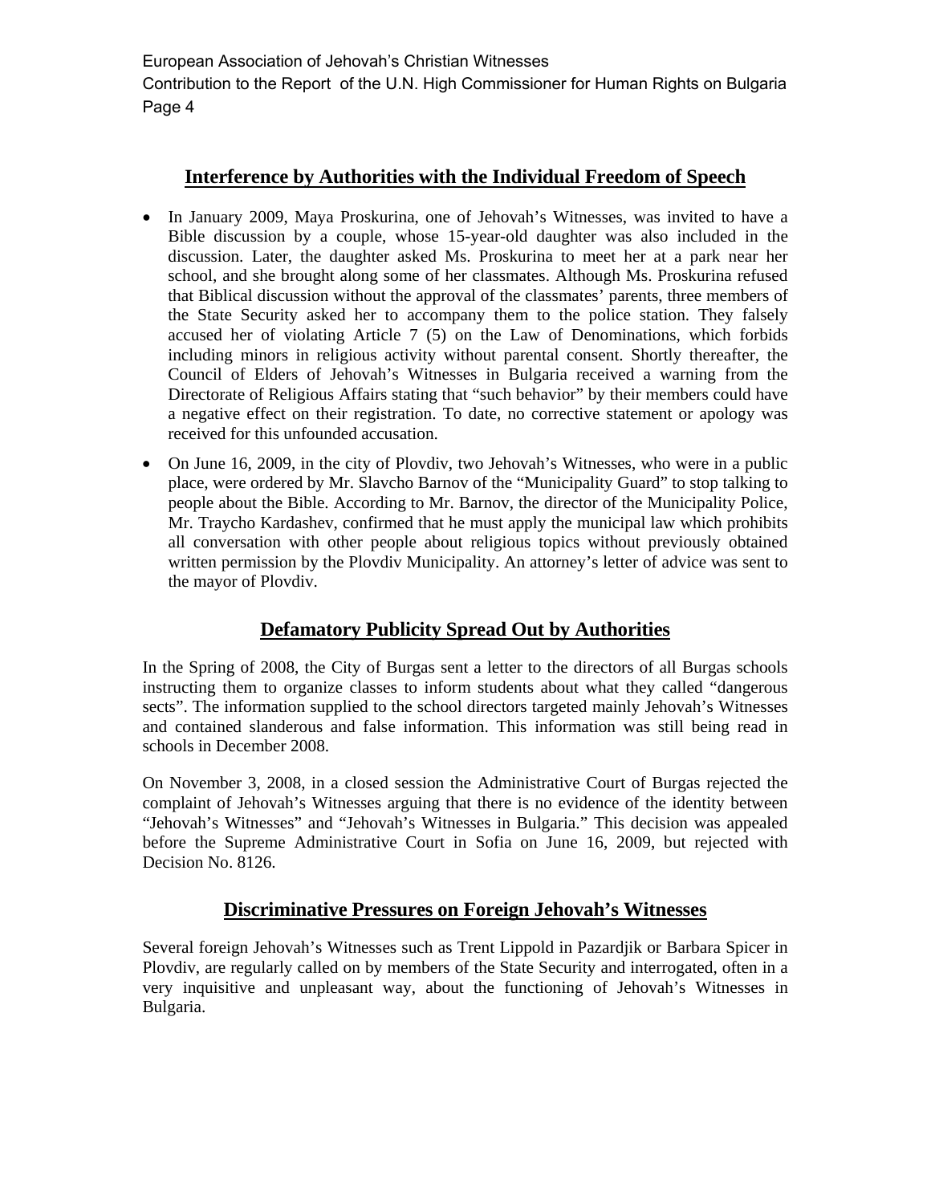Contribution to the Report of the U.N. High Commissioner for Human Rights on Bulgaria Page 4

## **Interference by Authorities with the Individual Freedom of Speech**

- In January 2009, Maya Proskurina, one of Jehovah's Witnesses, was invited to have a Bible discussion by a couple, whose 15-year-old daughter was also included in the discussion. Later, the daughter asked Ms. Proskurina to meet her at a park near her school, and she brought along some of her classmates. Although Ms. Proskurina refused that Biblical discussion without the approval of the classmates' parents, three members of the State Security asked her to accompany them to the police station. They falsely accused her of violating Article 7 (5) on the Law of Denominations, which forbids including minors in religious activity without parental consent. Shortly thereafter, the Council of Elders of Jehovah's Witnesses in Bulgaria received a warning from the Directorate of Religious Affairs stating that "such behavior" by their members could have a negative effect on their registration. To date, no corrective statement or apology was received for this unfounded accusation.
- On June 16, 2009, in the city of Plovdiv, two Jehovah's Witnesses, who were in a public place, were ordered by Mr. Slavcho Barnov of the "Municipality Guard" to stop talking to people about the Bible. According to Mr. Barnov, the director of the Municipality Police, Mr. Traycho Kardashev, confirmed that he must apply the municipal law which prohibits all conversation with other people about religious topics without previously obtained written permission by the Plovdiv Municipality. An attorney's letter of advice was sent to the mayor of Plovdiv.

## **Defamatory Publicity Spread Out by Authorities**

In the Spring of 2008, the City of Burgas sent a letter to the directors of all Burgas schools instructing them to organize classes to inform students about what they called "dangerous sects". The information supplied to the school directors targeted mainly Jehovah's Witnesses and contained slanderous and false information. This information was still being read in schools in December 2008.

On November 3, 2008, in a closed session the Administrative Court of Burgas rejected the complaint of Jehovah's Witnesses arguing that there is no evidence of the identity between "Jehovah's Witnesses" and "Jehovah's Witnesses in Bulgaria." This decision was appealed before the Supreme Administrative Court in Sofia on June 16, 2009, but rejected with Decision No. 8126.

## **Discriminative Pressures on Foreign Jehovah's Witnesses**

Several foreign Jehovah's Witnesses such as Trent Lippold in Pazardjik or Barbara Spicer in Plovdiv, are regularly called on by members of the State Security and interrogated, often in a very inquisitive and unpleasant way, about the functioning of Jehovah's Witnesses in Bulgaria.